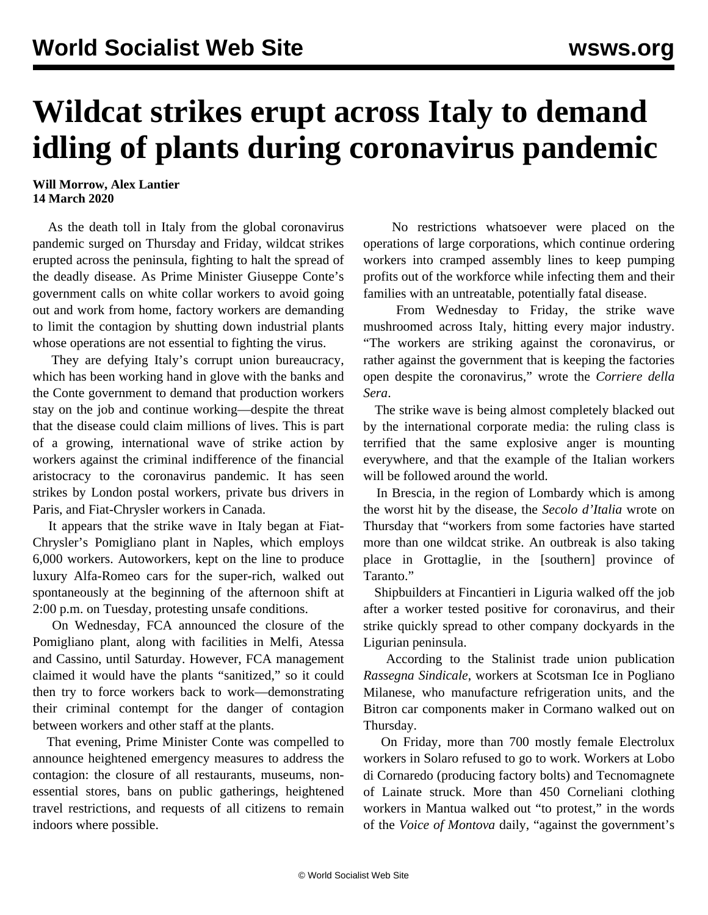## **Wildcat strikes erupt across Italy to demand idling of plants during coronavirus pandemic**

## **Will Morrow, Alex Lantier 14 March 2020**

 As the death toll in Italy from the global coronavirus pandemic surged on Thursday and Friday, wildcat strikes erupted across the peninsula, fighting to halt the spread of the deadly disease. As Prime Minister Giuseppe Conte's government calls on white collar workers to avoid going out and work from home, factory workers are demanding to limit the contagion by shutting down industrial plants whose operations are not essential to fighting the virus.

 They are defying Italy's corrupt union bureaucracy, which has been working hand in glove with the banks and the Conte government to demand that production workers stay on the job and continue working—despite the threat that the disease could claim millions of lives. This is part of a growing, international wave of strike action by workers against the criminal indifference of the financial aristocracy to the coronavirus pandemic. It has seen strikes by London postal workers, private bus drivers in Paris, and Fiat-Chrysler workers in Canada.

 It appears that the strike wave in Italy began at Fiat-Chrysler's Pomigliano plant in Naples, which employs 6,000 workers. Autoworkers, kept on the line to produce luxury Alfa-Romeo cars for the super-rich, walked out spontaneously at the beginning of the afternoon shift at 2:00 p.m. on Tuesday, protesting unsafe conditions.

 On Wednesday, FCA announced the closure of the Pomigliano plant, along with facilities in Melfi, Atessa and Cassino, until Saturday. However, FCA management claimed it would have the plants "sanitized," so it could then try to force workers back to work—demonstrating their criminal contempt for the danger of contagion between workers and other staff at the plants.

 That evening, Prime Minister Conte was compelled to announce heightened emergency measures to address the contagion: the closure of all restaurants, museums, nonessential stores, bans on public gatherings, heightened travel restrictions, and requests of all citizens to remain indoors where possible.

 No restrictions whatsoever were placed on the operations of large corporations, which continue ordering workers into cramped assembly lines to keep pumping profits out of the workforce while infecting them and their families with an untreatable, potentially fatal disease.

 From Wednesday to Friday, the strike wave mushroomed across Italy, hitting every major industry. "The workers are striking against the coronavirus, or rather against the government that is keeping the factories open despite the coronavirus," wrote the *Corriere della Sera*.

 The strike wave is being almost completely blacked out by the international corporate media: the ruling class is terrified that the same explosive anger is mounting everywhere, and that the example of the Italian workers will be followed around the world.

 In Brescia, in the region of Lombardy which is among the worst hit by the disease, the *Secolo d'Italia* wrote on Thursday that "workers from some factories have started more than one wildcat strike. An outbreak is also taking place in Grottaglie, in the [southern] province of Taranto."

 Shipbuilders at Fincantieri in Liguria walked off the job after a worker tested positive for coronavirus, and their strike quickly spread to other company dockyards in the Ligurian peninsula.

 According to the Stalinist trade union publication *Rassegna Sindicale*, workers at Scotsman Ice in Pogliano Milanese, who manufacture refrigeration units, and the Bitron car components maker in Cormano walked out on Thursday.

 On Friday, more than 700 mostly female Electrolux workers in Solaro refused to go to work. Workers at Lobo di Cornaredo (producing factory bolts) and Tecnomagnete of Lainate struck. More than 450 Corneliani clothing workers in Mantua walked out "to protest," in the words of the *Voice of Montova* daily, "against the government's